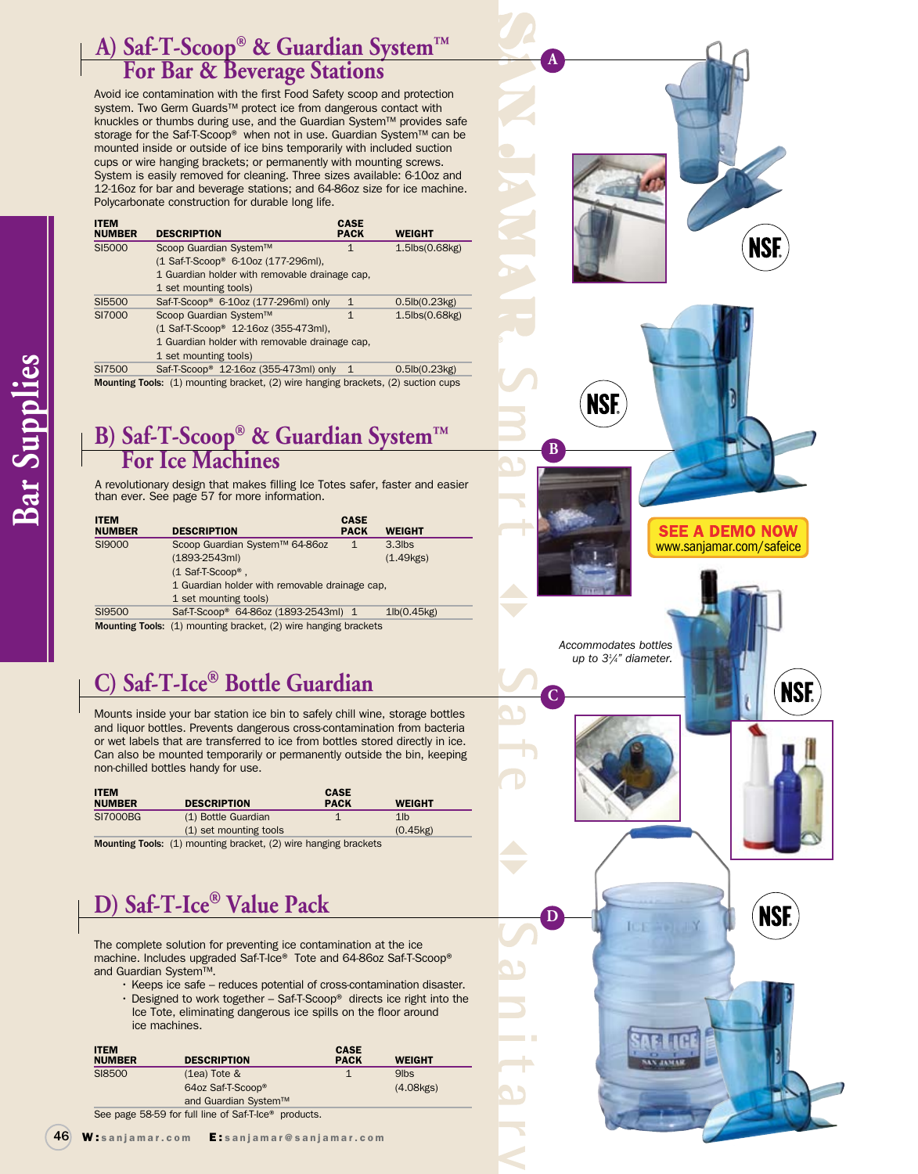### **A) Saf-T-Scoop® & Guardian System™ For Bar & Beverage Stations**

Avoid ice contamination with the first Food Safety scoop and protection system. Two Germ Guards™ protect ice from dangerous contact with knuckles or thumbs during use, and the Guardian System™ provides safe storage for the Saf-T-Scoop® when not in use. Guardian System™ can be mounted inside or outside of ice bins temporarily with included suction cups or wire hanging brackets; or permanently with mounting screws. System is easily removed for cleaning. Three sizes available: 6-10oz and 12-16oz for bar and beverage stations; and 64-86oz size for ice machine. Polycarbonate construction for durable long life.

| <b>ITEM</b><br><b>NUMBER</b>                                                      | <b>DESCRIPTION</b>                                | <b>CASE</b><br><b>PACK</b> | <b>WEIGHT</b>            |
|-----------------------------------------------------------------------------------|---------------------------------------------------|----------------------------|--------------------------|
| SI5000                                                                            | Scoop Guardian System™                            | 1                          | $1.5$ lbs $(0.68$ kg $)$ |
|                                                                                   | (1 Saf-T-Scoop® 6-10oz (177-296ml),               |                            |                          |
|                                                                                   | 1 Guardian holder with removable drainage cap.    |                            |                          |
|                                                                                   | 1 set mounting tools)                             |                            |                          |
| SI5500                                                                            | Saf-T-Scoop® 6-10oz (177-296ml) only              | $\mathbf{1}$               | 0.5lb(0.23kg)            |
| SI7000                                                                            | Scoop Guardian System™                            | $\mathbf{1}$               | $1.5$ lbs $(0.68$ kg $)$ |
|                                                                                   | (1 Saf-T-Scoop <sup>®</sup> 12-16oz (355-473ml),  |                            |                          |
| 1 Guardian holder with removable drainage cap,                                    |                                                   |                            |                          |
|                                                                                   | 1 set mounting tools)                             |                            |                          |
| SI7500                                                                            | Saf-T-Scoop <sup>®</sup> 12-16oz (355-473ml) only | $\overline{1}$             | 0.5lb(0.23kg)            |
| Mounting Tools: (1) mounting bracket, (2) wire hanging brackets, (2) suction cups |                                                   |                            |                          |

### **B) Saf-T-Scoop® & Guardian System™ For Ice Machines**

A revolutionary design that makes filling Ice Totes safer, faster and easier than ever. See page 57 for more information.

| <b>ITEM</b><br><b>NUMBER</b> | <b>DESCRIPTION</b>                                                                                                                                                     | <b>CASE</b><br><b>PACK</b> | <b>WEIGHT</b> |
|------------------------------|------------------------------------------------------------------------------------------------------------------------------------------------------------------------|----------------------------|---------------|
| <b>SI9000</b>                | Scoop Guardian System™ 64-86oz                                                                                                                                         | $\mathbf{1}$               | $3.3$ lbs     |
|                              | $(1893 - 2543m)$                                                                                                                                                       |                            | (1.49kgs)     |
|                              | (1 Saf-T-Scoop®,                                                                                                                                                       |                            |               |
|                              | 1 Guardian holder with removable drainage cap.                                                                                                                         |                            |               |
|                              | 1 set mounting tools)                                                                                                                                                  |                            |               |
| SI9500                       | Saf-T-Scoop® 64-86oz (1893-2543ml) 1                                                                                                                                   |                            | 1lb(0.45kg)   |
|                              | <b>M</b> according $\mathbf{F}$ and $\mathbf{F}$ and $\mathbf{A}$ are according to be a local of $\mathbf{A}$ . The contract is a set of $\mathbf{F}$ and $\mathbf{A}$ |                            |               |

Mounting Tools: (1) mounting bracket, (2) wire hanging brackets

### **C) Saf-T-Ice® Bottle Guardian**

Mounts inside your bar station ice bin to safely chill wine, storage bottles and liquor bottles. Prevents dangerous cross-contamination from bacteria or wet labels that are transferred to ice from bottles stored directly in ice. Can also be mounted temporarily or permanently outside the bin, keeping non-chilled bottles handy for use.

| <b>ITEM</b><br><b>NUMBER</b> | <b>DESCRIPTION</b>     | <b>CASE</b><br><b>PACK</b> | <b>WEIGHT</b>  |
|------------------------------|------------------------|----------------------------|----------------|
| SI7000BG                     | (1) Bottle Guardian    |                            | 1 <sub>1</sub> |
|                              | (1) set mounting tools |                            | (0.45kg)       |
| $-$                          | .                      |                            |                |

Mounting Tools: (1) mounting bracket, (2) wire hanging brackets

# **D) Saf-T-Ice® Value Pack**

The complete solution for preventing ice contamination at the ice machine. Includes upgraded Saf-T-Ice® Tote and 64-86oz Saf-T-Scoop® and Guardian System™.

- Keeps ice safe reduces potential of cross-contamination disaster.
- Designed to work together Saf-T-Scoop® directs ice right into the Ice Tote, eliminating dangerous ice spills on the floor around ice machines.

| <b>ITEM</b><br><b>NUMBER</b> | <b>DESCRIPTION</b>   | <b>CASE</b><br><b>PACK</b> | <b>WEIGHT</b>    |
|------------------------------|----------------------|----------------------------|------------------|
| SI8500                       | $(1ea)$ Tote &       |                            | 9 <sub>lbs</sub> |
|                              | 64oz Saf-T-Scoop®    |                            | (4.08kg)         |
|                              | and Guardian System™ |                            |                  |

See page 58-59 for full line of Saf-T-Ice® products.